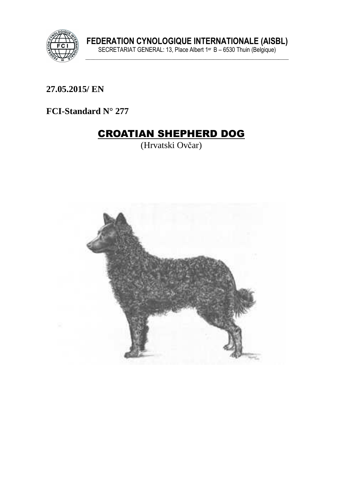

27.05.2015/ EN

FCI-Standard N° 277

# **CROATIAN SHEPHERD DOG**

(Hrvatski Ovčar)

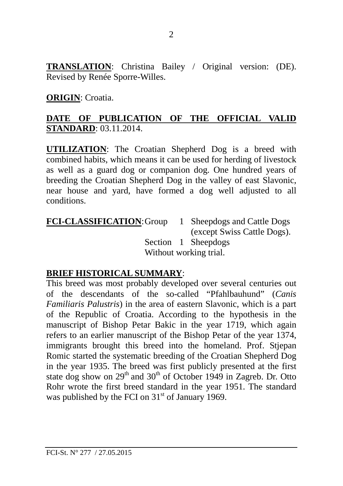**TRANSLATION**: Christina Bailey / Original version: (DE). Revised by Renée Sporre-Willes.

#### **ORIGIN**: Croatia.

### **DATE OF PUBLICATION OF THE OFFICIAL VALID STANDARD**: 03.11.2014.

**UTILIZATION**: The Croatian Shepherd Dog is a breed with combined habits, which means it can be used for herding of livestock as well as a guard dog or companion dog. One hundred years of breeding the Croatian Shepherd Dog in the valley of east Slavonic, near house and yard, have formed a dog well adjusted to all conditions.

**FCI-CLASSIFICATION**: Group 1 Sheepdogs and Cattle Dogs (except Swiss Cattle Dogs). Section 1 Sheepdogs Without working trial.

#### **BRIEF HISTORICAL SUMMARY**:

This breed was most probably developed over several centuries out of the descendants of the so-called "Pfahlbauhund" (*Canis Familiaris Palustris*) in the area of eastern Slavonic, which is a part of the Republic of Croatia. According to the hypothesis in the manuscript of Bishop Petar Bakic in the year 1719, which again refers to an earlier manuscript of the Bishop Petar of the year 1374, immigrants brought this breed into the homeland. Prof. Stjepan Romic started the systematic breeding of the Croatian Shepherd Dog in the year 1935. The breed was first publicly presented at the first state dog show on  $29<sup>th</sup>$  and  $30<sup>th</sup>$  of October 1949 in Zagreb. Dr. Otto Rohr wrote the first breed standard in the year 1951. The standard was published by the FCI on  $31<sup>st</sup>$  of January 1969.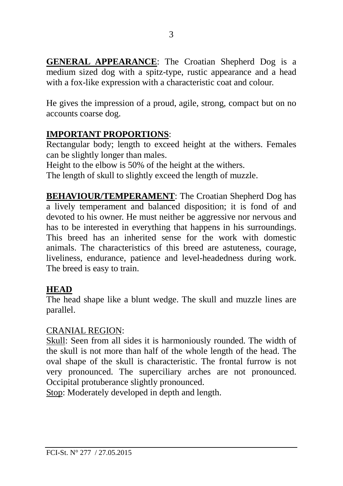**GENERAL APPEARANCE**: The Croatian Shepherd Dog is a medium sized dog with a spitz-type, rustic appearance and a head with a fox-like expression with a characteristic coat and colour.

He gives the impression of a proud, agile, strong, compact but on no accounts coarse dog.

#### **IMPORTANT PROPORTIONS**:

Rectangular body; length to exceed height at the withers. Females can be slightly longer than males.

Height to the elbow is 50% of the height at the withers.

The length of skull to slightly exceed the length of muzzle.

**BEHAVIOUR/TEMPERAMENT**: The Croatian Shepherd Dog has a lively temperament and balanced disposition; it is fond of and devoted to his owner. He must neither be aggressive nor nervous and has to be interested in everything that happens in his surroundings. This breed has an inherited sense for the work with domestic animals. The characteristics of this breed are astuteness, courage, liveliness, endurance, patience and level-headedness during work. The breed is easy to train.

# **HEAD**

The head shape like a blunt wedge. The skull and muzzle lines are parallel.

#### CRANIAL REGION:

Skull: Seen from all sides it is harmoniously rounded. The width of the skull is not more than half of the whole length of the head. The oval shape of the skull is characteristic. The frontal furrow is not very pronounced. The superciliary arches are not pronounced. Occipital protuberance slightly pronounced.

Stop: Moderately developed in depth and length.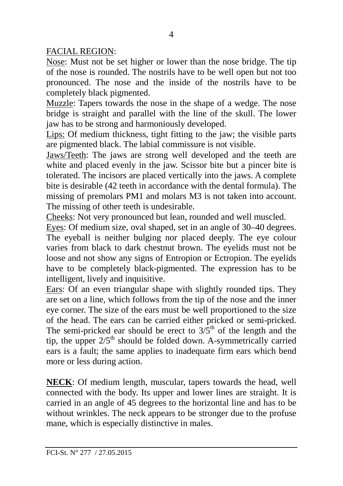FACIAL REGION:

Nose: Must not be set higher or lower than the nose bridge. The tip of the nose is rounded. The nostrils have to be well open but not too pronounced. The nose and the inside of the nostrils have to be completely black pigmented.

Muzzle: Tapers towards the nose in the shape of a wedge. The nose bridge is straight and parallel with the line of the skull. The lower jaw has to be strong and harmoniously developed.

Lips: Of medium thickness, tight fitting to the jaw; the visible parts are pigmented black. The labial commissure is not visible.

Jaws/Teeth: The jaws are strong well developed and the teeth are white and placed evenly in the jaw. Scissor bite but a pincer bite is tolerated. The incisors are placed vertically into the jaws. A complete bite is desirable (42 teeth in accordance with the dental formula). The missing of premolars PM1 and molars M3 is not taken into account. The missing of other teeth is undesirable.

Cheeks: Not very pronounced but lean, rounded and well muscled.

Eyes: Of medium size, oval shaped, set in an angle of 30–40 degrees. The eyeball is neither bulging nor placed deeply. The eye colour varies from black to dark chestnut brown. The eyelids must not be loose and not show any signs of Entropion or Ectropion. The eyelids have to be completely black-pigmented. The expression has to be intelligent, lively and inquisitive.

Ears: Of an even triangular shape with slightly rounded tips. They are set on a line, which follows from the tip of the nose and the inner eye corner. The size of the ears must be well proportioned to the size of the head. The ears can be carried either pricked or semi-pricked. The semi-pricked ear should be erect to  $3/\overline{5}^{th}$  of the length and the tip, the upper  $2/5<sup>th</sup>$  should be folded down. A-symmetrically carried ears is a fault; the same applies to inadequate firm ears which bend more or less during action.

**NECK**: Of medium length, muscular, tapers towards the head, well connected with the body. Its upper and lower lines are straight. It is carried in an angle of 45 degrees to the horizontal line and has to be without wrinkles. The neck appears to be stronger due to the profuse mane, which is especially distinctive in males.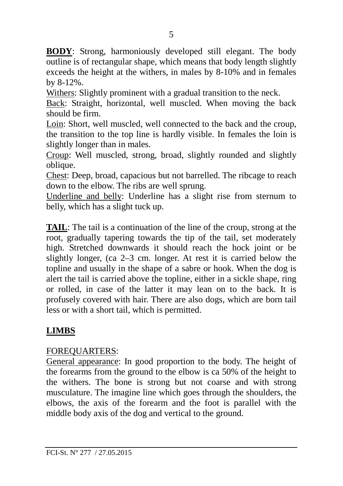**BODY**: Strong, harmoniously developed still elegant. The body outline is of rectangular shape, which means that body length slightly exceeds the height at the withers, in males by 8-10% and in females by 8-12%.

Withers: Slightly prominent with a gradual transition to the neck.

Back: Straight, horizontal, well muscled. When moving the back should be firm.

Loin: Short, well muscled, well connected to the back and the croup, the transition to the top line is hardly visible. In females the loin is slightly longer than in males.

Croup: Well muscled, strong, broad, slightly rounded and slightly oblique.

Chest: Deep, broad, capacious but not barrelled. The ribcage to reach down to the elbow. The ribs are well sprung.

Underline and belly: Underline has a slight rise from sternum to belly, which has a slight tuck up.

**TAIL:** The tail is a continuation of the line of the croup, strong at the root, gradually tapering towards the tip of the tail, set moderately high. Stretched downwards it should reach the hock joint or be slightly longer, (ca 2–3 cm. longer. At rest it is carried below the topline and usually in the shape of a sabre or hook. When the dog is alert the tail is carried above the topline, either in a sickle shape, ring or rolled, in case of the latter it may lean on to the back. It is profusely covered with hair. There are also dogs, which are born tail less or with a short tail, which is permitted.

# **LIMBS**

# FOREQUARTERS:

General appearance: In good proportion to the body. The height of the forearms from the ground to the elbow is ca 50% of the height to the withers. The bone is strong but not coarse and with strong musculature. The imagine line which goes through the shoulders, the elbows, the axis of the forearm and the foot is parallel with the middle body axis of the dog and vertical to the ground.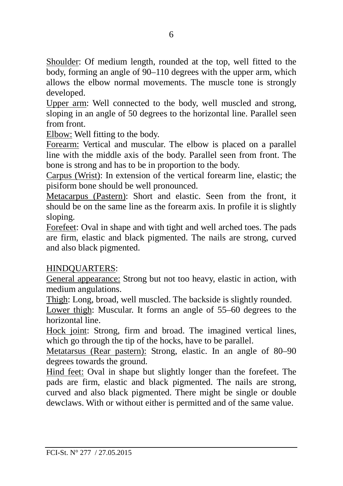Shoulder: Of medium length, rounded at the top, well fitted to the body, forming an angle of 90–110 degrees with the upper arm, which allows the elbow normal movements. The muscle tone is strongly developed.

Upper arm: Well connected to the body, well muscled and strong, sloping in an angle of 50 degrees to the horizontal line. Parallel seen from front.

Elbow: Well fitting to the body.

Forearm: Vertical and muscular. The elbow is placed on a parallel line with the middle axis of the body. Parallel seen from front. The bone is strong and has to be in proportion to the body.

Carpus (Wrist): In extension of the vertical forearm line, elastic; the pisiform bone should be well pronounced.

Metacarpus (Pastern): Short and elastic. Seen from the front, it should be on the same line as the forearm axis. In profile it is slightly sloping.

Forefeet: Oval in shape and with tight and well arched toes. The pads are firm, elastic and black pigmented. The nails are strong, curved and also black pigmented.

#### HINDQUARTERS:

General appearance: Strong but not too heavy, elastic in action, with medium angulations.

Thigh: Long, broad, well muscled. The backside is slightly rounded.

Lower thigh: Muscular. It forms an angle of 55–60 degrees to the horizontal line.

Hock joint: Strong, firm and broad. The imagined vertical lines, which go through the tip of the hocks, have to be parallel.

Metatarsus (Rear pastern): Strong, elastic. In an angle of 80–90 degrees towards the ground.

Hind feet: Oval in shape but slightly longer than the forefeet. The pads are firm, elastic and black pigmented. The nails are strong, curved and also black pigmented. There might be single or double dewclaws. With or without either is permitted and of the same value.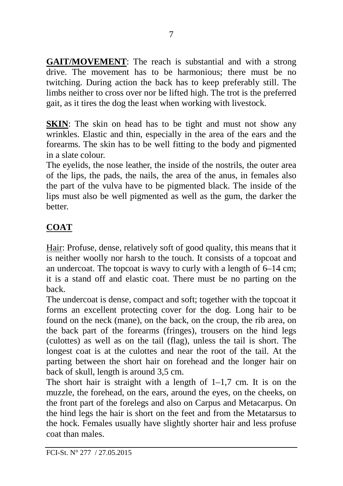**GAIT/MOVEMENT**: The reach is substantial and with a strong drive. The movement has to be harmonious; there must be no twitching. During action the back has to keep preferably still. The limbs neither to cross over nor be lifted high. The trot is the preferred gait, as it tires the dog the least when working with livestock.

**SKIN**: The skin on head has to be tight and must not show any wrinkles. Elastic and thin, especially in the area of the ears and the forearms. The skin has to be well fitting to the body and pigmented in a slate colour.

The eyelids, the nose leather, the inside of the nostrils, the outer area of the lips, the pads, the nails, the area of the anus, in females also the part of the vulva have to be pigmented black. The inside of the lips must also be well pigmented as well as the gum, the darker the **better** 

# **COAT**

Hair: Profuse, dense, relatively soft of good quality, this means that it is neither woolly nor harsh to the touch. It consists of a topcoat and an undercoat. The topcoat is wavy to curly with a length of 6–14 cm; it is a stand off and elastic coat. There must be no parting on the back.

The undercoat is dense, compact and soft; together with the topcoat it forms an excellent protecting cover for the dog. Long hair to be found on the neck (mane), on the back, on the croup, the rib area, on the back part of the forearms (fringes), trousers on the hind legs (culottes) as well as on the tail (flag), unless the tail is short. The longest coat is at the culottes and near the root of the tail. At the parting between the short hair on forehead and the longer hair on back of skull, length is around 3,5 cm.

The short hair is straight with a length of  $1-1.7$  cm. It is on the muzzle, the forehead, on the ears, around the eyes, on the cheeks, on the front part of the forelegs and also on Carpus and Metacarpus. On the hind legs the hair is short on the feet and from the Metatarsus to the hock. Females usually have slightly shorter hair and less profuse coat than males.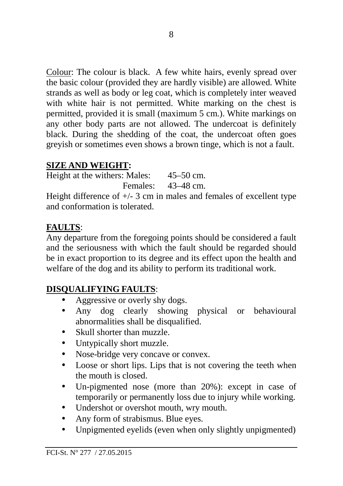Colour: The colour is black. A few white hairs, evenly spread over the basic colour (provided they are hardly visible) are allowed. White strands as well as body or leg coat, which is completely inter weaved with white hair is not permitted. White marking on the chest is permitted, provided it is small (maximum 5 cm.). White markings on any other body parts are not allowed. The undercoat is definitely black. During the shedding of the coat, the undercoat often goes greyish or sometimes even shows a brown tinge, which is not a fault.

# **SIZE AND WEIGHT:**

Height at the withers: Males: 45–50 cm. Females: 43–48 cm.

Height difference of  $+/- 3$  cm in males and females of excellent type and conformation is tolerated.

# **FAULTS**:

Any departure from the foregoing points should be considered a fault and the seriousness with which the fault should be regarded should be in exact proportion to its degree and its effect upon the health and welfare of the dog and its ability to perform its traditional work.

# **DISQUALIFYING FAULTS**:

- Aggressive or overly shy dogs.
- Any dog clearly showing physical or behavioural abnormalities shall be disqualified.
- Skull shorter than muzzle.
- Untypically short muzzle.
- Nose-bridge very concave or convex.
- Loose or short lips. Lips that is not covering the teeth when the mouth is closed.
- Un-pigmented nose (more than 20%): except in case of temporarily or permanently loss due to injury while working.
- Undershot or overshot mouth, wry mouth.
- Any form of strabismus. Blue eyes.
- Unpigmented eyelids (even when only slightly unpigmented)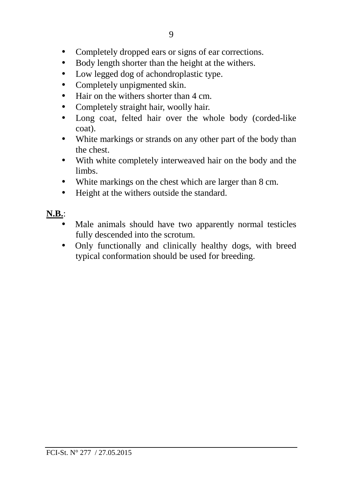- Completely dropped ears or signs of ear corrections.
- Body length shorter than the height at the withers.
- Low legged dog of achondroplastic type.
- Completely unpigmented skin.
- Hair on the withers shorter than 4 cm.
- Completely straight hair, woolly hair.
- Long coat, felted hair over the whole body (corded-like coat).
- White markings or strands on any other part of the body than the chest.
- With white completely interweaved hair on the body and the limbs.
- White markings on the chest which are larger than 8 cm.
- Height at the withers outside the standard.

#### **N.B.**:

- Male animals should have two apparently normal testicles fully descended into the scrotum.
- Only functionally and clinically healthy dogs, with breed typical conformation should be used for breeding.